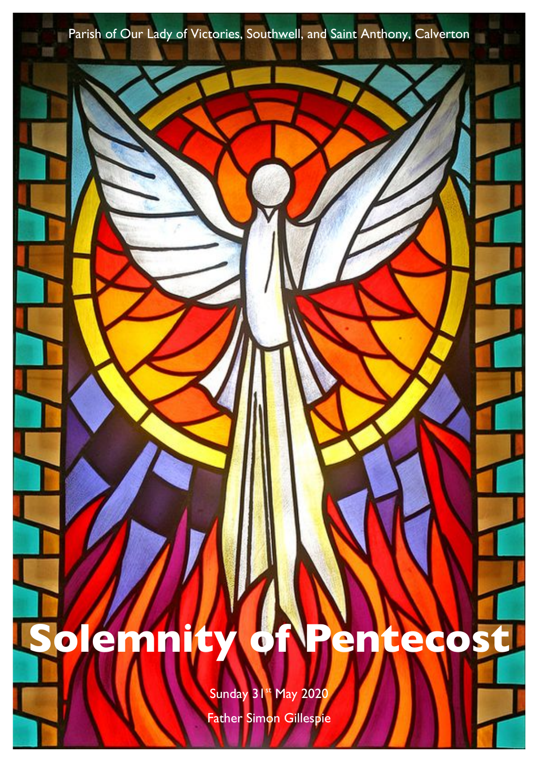Parish of Our Lady of Victories, Southwell, and Saint Anthony, Calverton

# **Solemnity of Pentecost**

Sunday 31st May 2020 Father Simon Gillespie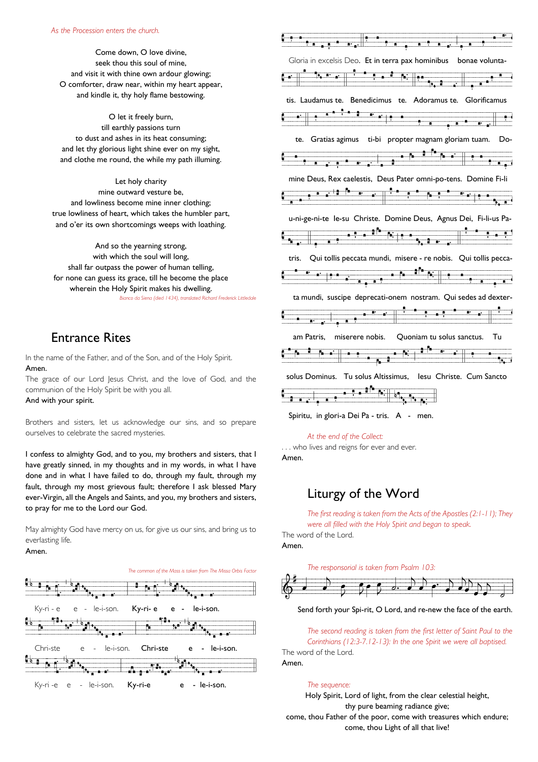Come down, O love divine, seek thou this soul of mine, and visit it with thine own ardour glowing; O comforter, draw near, within my heart appear, and kindle it, thy holy flame bestowing.

O let it freely burn, till earthly passions turn to dust and ashes in its heat consuming; and let thy glorious light shine ever on my sight, and clothe me round, the while my path illuming.

Let holy charity mine outward vesture be, and lowliness become mine inner clothing; true lowliness of heart, which takes the humbler part, and o'er its own shortcomings weeps with loathing.

And so the yearning strong, with which the soul will long, shall far outpass the power of human telling, for none can guess its grace, till he become the place wherein the Holy Spirit makes his dwelling. *Bianco da Siena (died 1434), translated Richard Frederick Littledale*

## Entrance Rites

In the name of the Father, and of the Son, and of the Holy Spirit. Amen.

The grace of our Lord Jesus Christ, and the love of God, and the communion of the Holy Spirit be with you all.

And with your spirit.

Brothers and sisters, let us acknowledge our sins, and so prepare ourselves to celebrate the sacred mysteries.

I confess to almighty God, and to you, my brothers and sisters, that I have greatly sinned, in my thoughts and in my words, in what I have done and in what I have failed to do, through my fault, through my fault, through my most grievous fault; therefore I ask blessed Mary ever-Virgin, all the Angels and Saints, and you, my brothers and sisters, to pray for me to the Lord our God.

May almighty God have mercy on us, for give us our sins, and bring us to everlasting life.

### Amen.





Spiritu, in glori-a Dei Pa - tris. A - men.

#### *At the end of the Collect:*

. . . who lives and reigns for ever and ever. Amen.

# Liturgy of the Word

*The first reading is taken from the Acts of the Apostles (2:1-11); They were all filled with the Holy Spirit and began to speak.*

The word of the Lord. Amen.

*The responsorial is taken from Psalm 103:*



#### Send forth your Spi-rit, O Lord, and re-new the face of the earth.

*The second reading is taken from the first letter of Saint Paul to the Corinthians (12:3-7.12-13): In the one Spirit we were all baptised.* The word of the Lord. Amen.

*The sequence:*

Holy Spirit, Lord of light, from the clear celestial height, thy pure beaming radiance give; come, thou Father of the poor, come with treasures which endure; come, thou Light of all that live!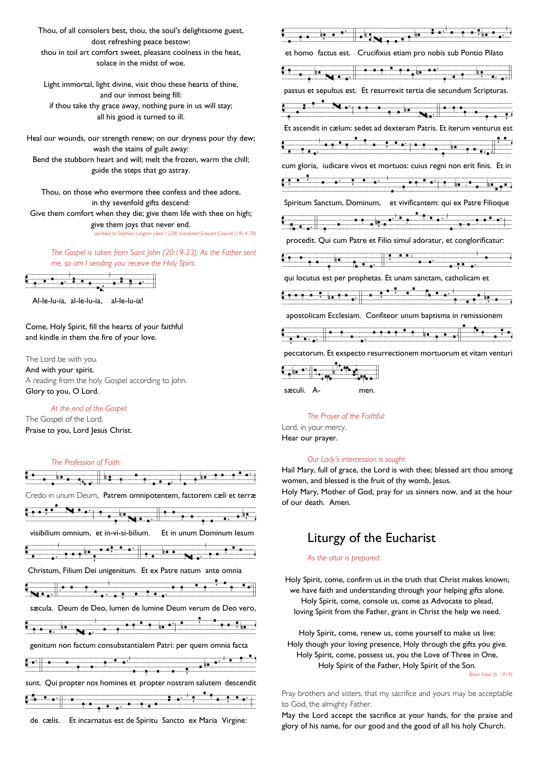Thou, of all consolers best, thou, the soul's delightsome guest, dost refreshing peace bestow: thou in toil art comfort sweet, pleasant coolness in the heat, solace in the midst of woe.

Light immortal, light divine, visit thou these hearts of thine, and our inmost being fill: if thou take thy grace away, nothing pure in us will stay; all his good is turned to ill.

Heal our wounds, our strength renew; on our dryness pour thy dew; wash the stains of guilt away: Bend the stubborn heart and will; melt the frozen, warm the chill; guide the steps that go astray.

Thou, on those who evermore thee confess and thee adore, in thy sevenfold gifts descend: Give them comfort when they die; give them life with thee on high; give them joys that never end.

*ascribed to Stephen Langton (died 1228) translated Edward Caswall (1814-78)* 

*The Gospel is taken from Saint John (20:19-23); As the Father sent me, so am I sending you: receive the Holy Spirit.*



Al-le-lu-ia, al-le-lu-ia, al-le-lu-ia!

Come, Holy Spirit, fill the hearts of your faithful and kindle in them the fire of your love.

The Lord be with you. And with your spirit. A reading from the holy Gospel according to John. Glory to you, O Lord.

#### *At the end of the Gospel:*

The Gospel of the Lord. Praise to you, Lord Jesus Christ.





Vvsvvvv!fvvbfvvvvvb#bßgvvvgvvvhb .vvv}vvfv#vDTvb Ì\$EvvbÜsvvbsvvdvv!fvv#bgvvbvvvHUvbvhb .vb[bvbhvvvvàhvvvhvvájv#bgvbvhvvfb , v[zö et homo factus est. Crucifixus etiam pro nobis sub Pontio Pilato <u>Üsvahvador kastsa para</u> valor mvallo para valor mvallo mvallo mvallo mvallo mvallo mvallo mvallo mvallo mvallo m<br>Porto mvallo mvallo mvallo mvallo mvallo mvallo mvallo mvallo mvallo mvallo mvallo mvallo mvallo mvallo mval passus et sepultus est. Et resurrexit tertia die secundum Scripturas. b <u>interventa alan manda abgoritana</u><br>I Et ascendit in cælum: sedet ad dexteram Patris. Et iterum venturus est Vvda mala mala mala va vida valo v de la series .vvda mala v hvori mala v de la series .vvda metal metal metal<br>De la series mala valo mala valo metal metal metal metal metal metal metal metal metal metal metal metal metal cum gloria, iudicare vivos et mortuos: cuius regni non erit finis. Et in Vvájvvvjvvbvãlvvvvvvhvvvvvhb .vvvvvvájvvvvjvbvvvhb .vvvv[bvsvvvv!fvb hbvàhvb vjvbvhb .vb{vvàhvvvv#bgvvàvvhvbvfb vvv#bgvbdv!fvgvzô Spiritum Sanctum, Dominum, et vivificantem: qui ex Patre Filioque Valònia <del>o palatina <sup>a p</sup>orto .</del><br>Paratina .v procedit. Qui cum Patre et Filio simul adoratur, et conglorificatur: <u>Contra de base in de byvatna bovatna</u> in de byvajvalo operation in de byvatna in dva operation in dvdvvojvojvojvoj<br>Urbe prestavlja in dva prestavlja moralne prestavlja in dva prestavlja in dva prestavlja in dva prestavlja qui locutus est per prophetas. Et unam sanctam, catholicam et Vvanaf b<sub>an</sub>a, a<sup>fti</sup> a<sup>n</sup> Bas<sup>i</sup>valova<br>Danaf vanaf apostolicam Ecclesiam. Confiteor unum baptisma in remissionem Van<sub>dbov</sub> a m<del>vodbovahvbov sb mvvodbovah</del>va<br>Povahva peccatorum. Et exspecto resurrectionem mortuorum et vitam venturi



*The Prayer of the Faithful:*

Lord, in your mercy. Hear our prayer.

#### *Our Lady's intercession is sought:*

Hail Mary, full of grace, the Lord is with thee; blessed art thou among women, and blessed is the fruit of thy womb, Jesus.

Holy Mary, Mother of God, pray for us sinners now, and at the hour of our death. Amen.

# Liturgy of the Eucharist

#### *As the altar is prepared:*

Holy Spirit, come, confirm us in the truth that Christ makes known; we have faith and understanding through your helping gifts alone. Holy Spirit, come, console us, come as Advocate to plead, loving Spirit from the Father, grant in Christ the help we need.

Holy Spirit, come, renew us, come yourself to make us live: Holy though your loving presence, Holy through the gifts you give. Holy Spirit, come, possess us, you the Love of Three in One, Holy Spirit of the Father, Holy Spirit of the Son. *Brian Foley (b. 1919)*

Pray brothers and sisters, that my sacrifice and yours may be acceptable to God, the almighty Father.

May the Lord accept the sacrifice at your hands, for the praise and glory of his name, for our good and the good of all his holy Church.